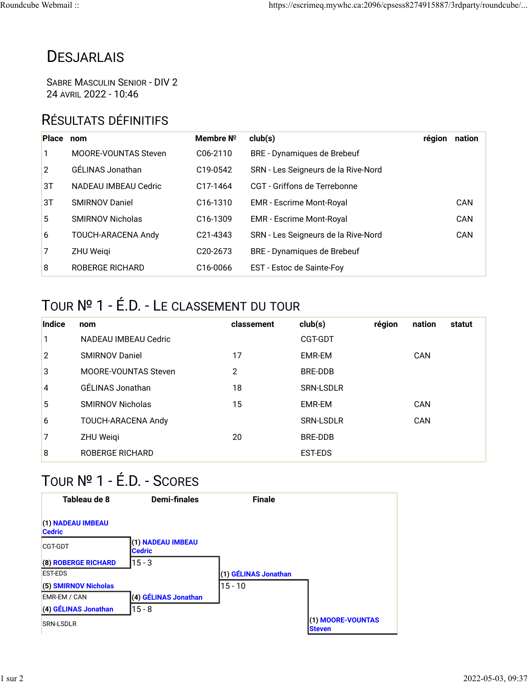## **DESJARLAIS**

SABRE MASCULIN SENIOR - DIV 2 24 AVRIL 2022 - 10:46

## RÉSULTATS DÉFINITIFS

| Place           | nom                     | Membre $N^{\circ}$    | club(s)                             | région | nation |
|-----------------|-------------------------|-----------------------|-------------------------------------|--------|--------|
| 1               | MOORE-VOUNTAS Steven    | C <sub>06</sub> -2110 | BRE - Dynamiques de Brebeuf         |        |        |
| $\overline{2}$  | GÉLINAS Jonathan        | C <sub>19</sub> -0542 | SRN - Les Seigneurs de la Rive-Nord |        |        |
| 3T              | NADEAU IMBEAU Cedric    | C <sub>17</sub> -1464 | CGT - Griffons de Terrebonne        |        |        |
| 3T              | <b>SMIRNOV Daniel</b>   | C <sub>16</sub> -1310 | <b>EMR</b> - Escrime Mont-Royal     |        | CAN    |
| $5^{\circ}$     | <b>SMIRNOV Nicholas</b> | C <sub>16</sub> -1309 | <b>EMR</b> - Escrime Mont-Royal     |        | CAN    |
| $6\overline{6}$ | TOUCH-ARACENA Andy      | C <sub>21</sub> -4343 | SRN - Les Seigneurs de la Rive-Nord |        | CAN    |
| 7               | <b>ZHU Weigi</b>        | C <sub>20</sub> -2673 | BRE - Dynamiques de Brebeuf         |        |        |
| 8               | <b>ROBERGE RICHARD</b>  | C <sub>16</sub> -0066 | EST - Estoc de Sainte-Foy           |        |        |

## TOUR № 1 - É.D. - LE CLASSEMENT DU TOUR

| Indice       | nom                     | classement | club(s)          | région | nation | statut |
|--------------|-------------------------|------------|------------------|--------|--------|--------|
| 1            | NADEAU IMBEAU Cedric    |            | CGT-GDT          |        |        |        |
| $\mathbf{2}$ | <b>SMIRNOV Daniel</b>   | 17         | EMR-EM           |        | CAN    |        |
| 3            | MOORE-VOUNTAS Steven    | 2          | BRE-DDB          |        |        |        |
| 4            | GÉLINAS Jonathan        | 18         | <b>SRN-LSDLR</b> |        |        |        |
| 5            | <b>SMIRNOV Nicholas</b> | 15         | EMR-EM           |        | CAN    |        |
| 6            | TOUCH-ARACENA Andy      |            | <b>SRN-LSDLR</b> |        | CAN    |        |
| 7            | ZHU Weigi               | 20         | BRE-DDB          |        |        |        |
| 8            | <b>ROBERGE RICHARD</b>  |            | <b>EST-EDS</b>   |        |        |        |

## TOUR № 1 - É.D. - SCORES